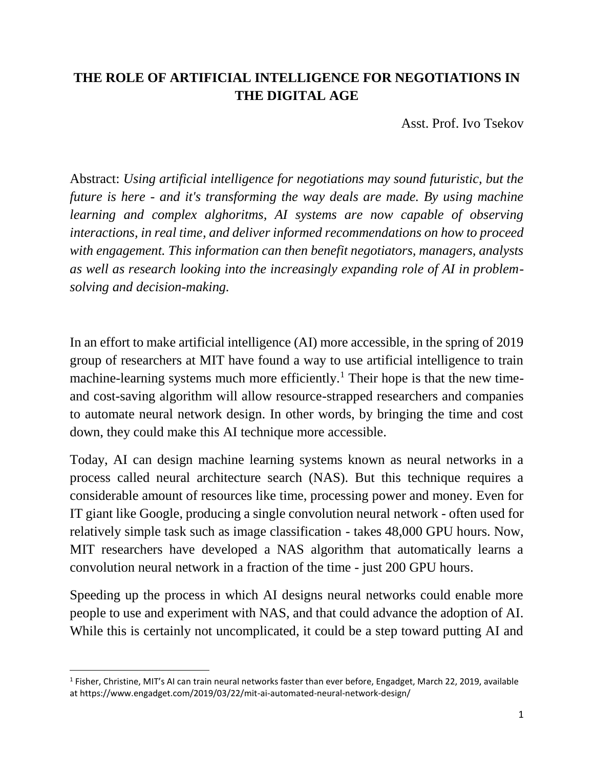# **THE ROLE OF ARTIFICIAL INTELLIGENCE FOR NEGOTIATIONS IN THE DIGITAL AGE**

Asst. Prof. Ivo Tsekov

Abstract: *Using artificial intelligence for negotiations may sound futuristic, but the future is here - and it's transforming the way deals are made. By using machine learning and complex alghoritms, AI systems are now capable of observing interactions, in real time, and deliver informed recommendations on how to proceed with engagement. This information can then benefit negotiators, managers, analysts as well as research looking into the increasingly expanding role of AI in problemsolving and decision-making.*

In an effort to make artificial intelligence (AI) more accessible, in the spring of 2019 group of researchers at MIT have found a way to use artificial intelligence to train machine-learning systems much more efficiently.<sup>1</sup> Their hope is that the new timeand cost-saving algorithm will allow resource-strapped researchers and companies to automate neural network design. In other words, by bringing the time and cost down, they could make this AI technique more accessible.

Today, AI can design machine learning systems known as neural networks in a process called neural architecture search (NAS). But this technique requires a considerable amount of resources like time, processing power and money. Even for IT giant like Google, producing a single convolution neural network - often used for relatively simple task such as image classification - takes 48,000 GPU hours. Now, MIT researchers have developed a NAS algorithm that automatically learns a convolution neural network in a fraction of the time - just 200 GPU hours.

Speeding up the process in which AI designs neural networks could enable more people to use and experiment with NAS, and that could advance the adoption of AI. While this is certainly not uncomplicated, it could be a step toward putting AI and

l

<sup>&</sup>lt;sup>1</sup> Fisher, Christine, MIT's AI can train neural networks faster than ever before, Engadget, March 22, 2019, available at https://www.engadget.com/2019/03/22/mit-ai-automated-neural-network-design/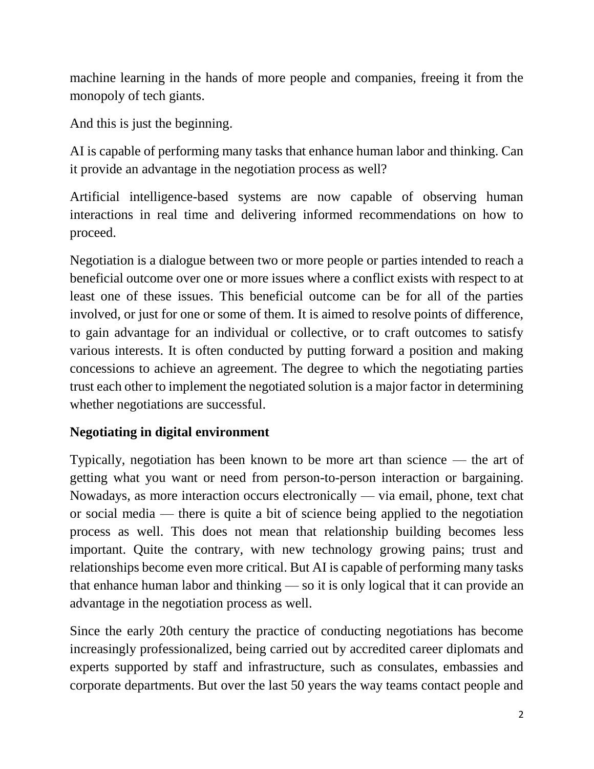machine learning in the hands of more people and companies, freeing it from the monopoly of tech giants.

And this is just the beginning.

AI is capable of performing many tasks that enhance human labor and thinking. Can it provide an advantage in the negotiation process as well?

Artificial intelligence-based systems are now capable of observing human interactions in real time and delivering informed recommendations on how to proceed.

Negotiation is a dialogue between two or more people or parties intended to reach a beneficial outcome over one or more issues where a conflict exists with respect to at least one of these issues. This beneficial outcome can be for all of the parties involved, or just for one or some of them. It is aimed to resolve points of difference, to gain advantage for an individual or collective, or to craft outcomes to satisfy various interests. It is often conducted by putting forward a position and making concessions to achieve an agreement. The degree to which the negotiating parties trust each other to implement the negotiated solution is a major factor in determining whether negotiations are successful.

## **Negotiating in digital environment**

Typically, negotiation has been known to be more art than science — the art of getting what you want or need from person-to-person interaction or bargaining. Nowadays, as more interaction occurs electronically — via email, phone, text chat or social media — there is quite a bit of science being applied to the negotiation process as well. This does not mean that relationship building becomes less important. Quite the contrary, with new technology growing pains; trust and relationships become even more critical. But AI is capable of performing many tasks that enhance human labor and thinking — so it is only logical that it can provide an advantage in the negotiation process as well.

Since the early 20th century the practice of conducting negotiations has become increasingly professionalized, being carried out by accredited career diplomats and experts supported by staff and infrastructure, such as consulates, embassies and corporate departments. But over the last 50 years the way teams contact people and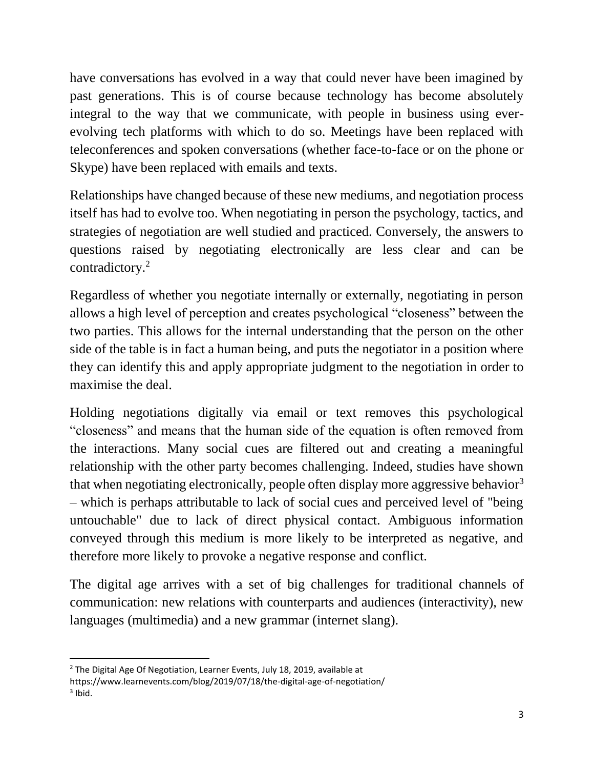have conversations has evolved in a way that could never have been imagined by past generations. This is of course because technology has become absolutely integral to the way that we communicate, with people in business using everevolving tech platforms with which to do so. Meetings have been replaced with teleconferences and spoken conversations (whether face-to-face or on the phone or Skype) have been replaced with emails and texts.

Relationships have changed because of these new mediums, and negotiation process itself has had to evolve too. When negotiating in person the psychology, tactics, and strategies of negotiation are well studied and practiced. Conversely, the answers to questions raised by negotiating electronically are less clear and can be contradictory.<sup>2</sup>

Regardless of whether you negotiate internally or externally, negotiating in person allows a high level of perception and creates psychological "closeness" between the two parties. This allows for the internal understanding that the person on the other side of the table is in fact a human being, and puts the negotiator in a position where they can identify this and apply appropriate judgment to the negotiation in order to maximise the deal.

Holding negotiations digitally via email or text removes this psychological "closeness" and means that the human side of the equation is often removed from the interactions. Many social cues are filtered out and creating a meaningful relationship with the other party becomes challenging. Indeed, studies have shown that when negotiating electronically, people often display more aggressive behavior<sup>3</sup> – which is perhaps attributable to lack of social cues and perceived level of "being untouchable" due to lack of direct physical contact. Ambiguous information conveyed through this medium is more likely to be interpreted as negative, and therefore more likely to provoke a negative response and conflict.

The digital age arrives with a set of big challenges for traditional channels of communication: new relations with counterparts and audiences (interactivity), new languages (multimedia) and a new grammar (internet slang).

 $\overline{\phantom{a}}$  $2$  The Digital Age Of Negotiation, Learner Events, July 18, 2019, available at

https://www.learnevents.com/blog/2019/07/18/the-digital-age-of-negotiation/  $3$  Ibid.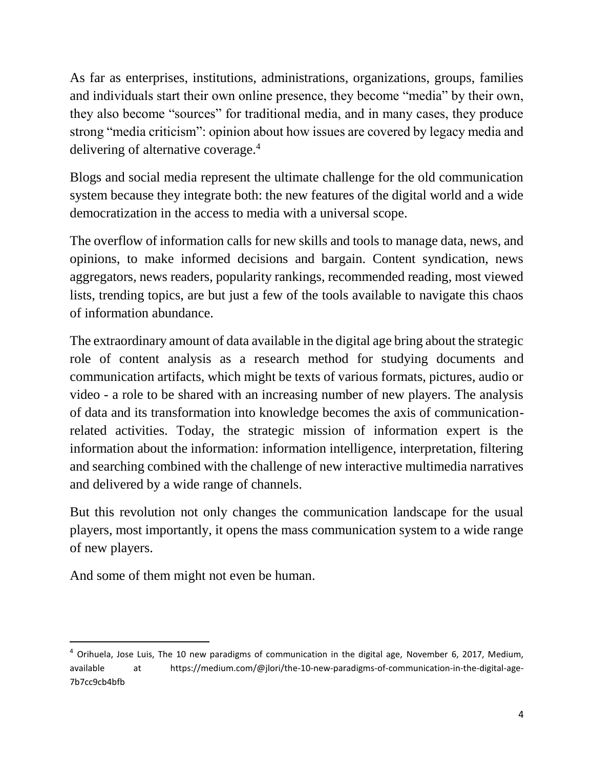As far as enterprises, institutions, administrations, organizations, groups, families and individuals start their own online presence, they become "media" by their own, they also become "sources" for traditional media, and in many cases, they produce strong "media criticism": opinion about how issues are covered by legacy media and delivering of alternative coverage.<sup>4</sup>

Blogs and social media represent the ultimate challenge for the old communication system because they integrate both: the new features of the digital world and a wide democratization in the access to media with a universal scope.

The overflow of information calls for new skills and tools to manage data, news, and opinions, to make informed decisions and bargain. Content syndication, news aggregators, news readers, popularity rankings, recommended reading, most viewed lists, trending topics, are but just a few of the tools available to navigate this chaos of information abundance.

The extraordinary amount of data available in the digital age bring about the strategic role of content analysis as a research method for studying documents and communication artifacts, which might be texts of various formats, pictures, audio or video - a role to be shared with an increasing number of new players. The analysis of data and its transformation into knowledge becomes the axis of communicationrelated activities. Today, the strategic mission of information expert is the information about the information: information intelligence, interpretation, filtering and searching combined with the challenge of new interactive multimedia narratives and delivered by a wide range of channels.

But this revolution not only changes the communication landscape for the usual players, most importantly, it opens the mass communication system to a wide range of new players.

And some of them might not even be human.

 $\overline{\phantom{a}}$ 

<sup>4</sup> Orihuela, Jose Luis, The 10 new paradigms of communication in the digital age, November 6, 2017, Medium, available at https://medium.com/@jlori/the-10-new-paradigms-of-communication-in-the-digital-age-7b7cc9cb4bfb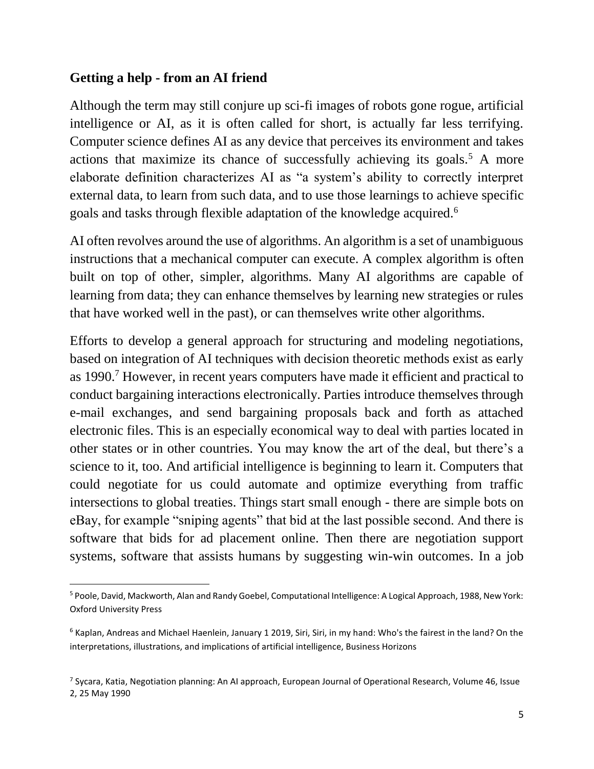#### **Getting a help - from an AI friend**

l

Although the term may still conjure up sci-fi images of robots gone rogue, artificial intelligence or AI, as it is often called for short, is actually far less terrifying. Computer science defines AI as any device that perceives its environment and takes actions that maximize its chance of successfully achieving its goals.<sup>5</sup> A more elaborate definition characterizes AI as "a system's ability to correctly interpret external data, to learn from such data, and to use those learnings to achieve specific goals and tasks through flexible adaptation of the knowledge acquired.<sup>6</sup>

AI often revolves around the use of algorithms. An algorithm is a set of unambiguous instructions that a mechanical computer can execute. A complex algorithm is often built on top of other, simpler, algorithms. Many AI algorithms are capable of learning from data; they can enhance themselves by learning new strategies or rules that have worked well in the past), or can themselves write other algorithms.

Efforts to develop a general approach for structuring and modeling negotiations, based on integration of AI techniques with decision theoretic methods exist as early as 1990.<sup>7</sup> However, in recent years computers have made it efficient and practical to conduct bargaining interactions electronically. Parties introduce themselves through e-mail exchanges, and send bargaining proposals back and forth as attached electronic files. This is an especially economical way to deal with parties located in other states or in other countries. You may know the art of the deal, but there's a science to it, too. And artificial intelligence is beginning to learn it. Computers that could negotiate for us could automate and optimize everything from traffic intersections to global treaties. Things start small enough - there are simple bots on eBay, for example "sniping agents" that bid at the last possible second. And there is software that bids for ad placement online. Then there are negotiation support systems, software that assists humans by suggesting win-win outcomes. In a job

<sup>5</sup> Poole, David, Mackworth, Alan and Randy Goebel, Computational Intelligence: A Logical Approach, 1988, New York: Oxford University Press

 $6$  Kaplan, Andreas and Michael Haenlein, January 1 2019, Siri, Siri, in my hand: Who's the fairest in the land? On the interpretations, illustrations, and implications of artificial intelligence, Business Horizons

<sup>&</sup>lt;sup>7</sup> Sycara, Katia, Negotiation planning: An AI approach, European Journal of Operational Research, Volume 46, Issue 2, 25 May 1990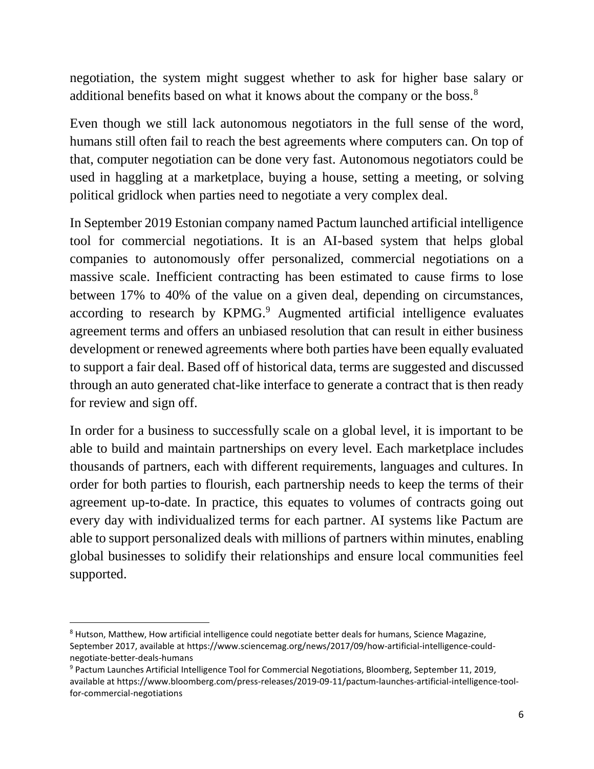negotiation, the system might suggest whether to ask for higher base salary or additional benefits based on what it knows about the company or the boss.<sup>8</sup>

Even though we still lack autonomous negotiators in the full sense of the word, humans still often fail to reach the best agreements where computers can. On top of that, computer negotiation can be done very fast. Autonomous negotiators could be used in haggling at a marketplace, buying a house, setting a meeting, or solving political gridlock when parties need to negotiate a very complex deal.

In September 2019 Estonian company named Pactum launched artificial intelligence tool for commercial negotiations. It is an AI-based system that helps global companies to autonomously offer personalized, commercial negotiations on a massive scale. Inefficient contracting has been estimated to cause firms to lose between 17% to 40% of the value on a given deal, depending on circumstances, according to research by KPMG.<sup>9</sup> Augmented artificial intelligence evaluates agreement terms and offers an unbiased resolution that can result in either business development or renewed agreements where both parties have been equally evaluated to support a fair deal. Based off of historical data, terms are suggested and discussed through an auto generated chat-like interface to generate a contract that is then ready for review and sign off.

In order for a business to successfully scale on a global level, it is important to be able to build and maintain partnerships on every level. Each marketplace includes thousands of partners, each with different requirements, languages and cultures. In order for both parties to flourish, each partnership needs to keep the terms of their agreement up-to-date. In practice, this equates to volumes of contracts going out every day with individualized terms for each partner. AI systems like Pactum are able to support personalized deals with millions of partners within minutes, enabling global businesses to solidify their relationships and ensure local communities feel supported.

 $\overline{a}$ 

<sup>8</sup> Hutson, Matthew, How artificial intelligence could negotiate better deals for humans, Science Magazine, September 2017, available at https://www.sciencemag.org/news/2017/09/how-artificial-intelligence-couldnegotiate-better-deals-humans

<sup>9</sup> Pactum Launches Artificial Intelligence Tool for Commercial Negotiations, Bloomberg, September 11, 2019, available at https://www.bloomberg.com/press-releases/2019-09-11/pactum-launches-artificial-intelligence-toolfor-commercial-negotiations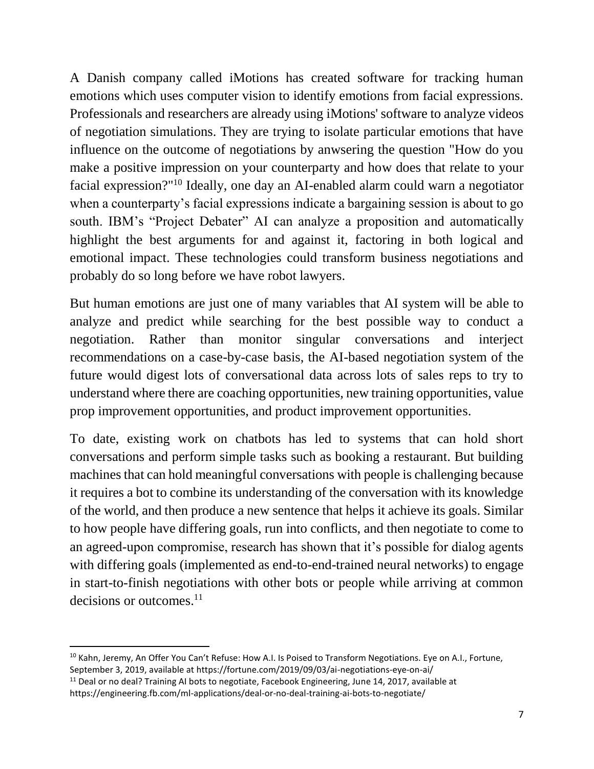A Danish company called iMotions has created software for tracking human emotions which uses computer vision to identify emotions from facial expressions. Professionals and researchers are already using iMotions' software to analyze videos of negotiation simulations. They are trying to isolate particular emotions that have influence on the outcome of negotiations by anwsering the question "How do you make a positive impression on your counterparty and how does that relate to your facial expression?"<sup>10</sup> Ideally, one day an AI-enabled alarm could warn a negotiator when a counterparty's facial expressions indicate a bargaining session is about to go south. IBM's "Project Debater" AI can analyze a proposition and automatically highlight the best arguments for and against it, factoring in both logical and emotional impact. These technologies could transform business negotiations and probably do so long before we have robot lawyers.

But human emotions are just one of many variables that AI system will be able to analyze and predict while searching for the best possible way to conduct a negotiation. Rather than monitor singular conversations and interject recommendations on a case-by-case basis, the AI-based negotiation system of the future would digest lots of conversational data across lots of sales reps to try to understand where there are coaching opportunities, new training opportunities, value prop improvement opportunities, and product improvement opportunities.

To date, existing work on chatbots has led to systems that can hold short conversations and perform simple tasks such as booking a restaurant. But building machines that can hold meaningful conversations with people is challenging because it requires a bot to combine its understanding of the conversation with its knowledge of the world, and then produce a new sentence that helps it achieve its goals. Similar to how people have differing goals, run into conflicts, and then negotiate to come to an agreed-upon compromise, research has shown that it's possible for dialog agents with differing goals (implemented as end-to-end-trained neural networks) to engage in start-to-finish negotiations with other bots or people while arriving at common decisions or outcomes. $^{11}$ 

 $\overline{a}$ <sup>10</sup> Kahn, Jeremy, An Offer You Can't Refuse: How A.I. Is Poised to Transform Negotiations. Eye on A.I., Fortune, September 3, 2019, available at https://fortune.com/2019/09/03/ai-negotiations-eye-on-ai/

 $11$  Deal or no deal? Training AI bots to negotiate, Facebook Engineering, June 14, 2017, available at https://engineering.fb.com/ml-applications/deal-or-no-deal-training-ai-bots-to-negotiate/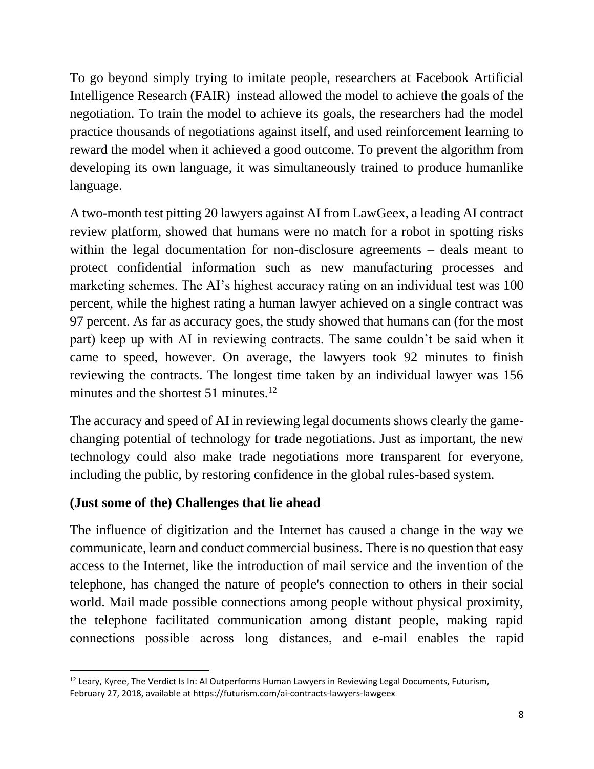To go beyond simply trying to imitate people, researchers at Facebook Artificial Intelligence Research (FAIR) instead allowed the model to achieve the goals of the negotiation. To train the model to achieve its goals, the researchers had the model practice thousands of negotiations against itself, and used reinforcement learning to reward the model when it achieved a good outcome. To prevent the algorithm from developing its own language, it was simultaneously trained to produce humanlike language.

A two-month test pitting 20 lawyers against AI from LawGeex, a leading AI contract review platform, showed that humans were no match for a robot in spotting risks within the legal documentation for non-disclosure agreements – deals meant to protect confidential information such as new manufacturing processes and marketing schemes. The AI's highest accuracy rating on an individual test was 100 percent, while the highest rating a human lawyer achieved on a single contract was 97 percent. As far as accuracy goes, the study showed that humans can (for the most part) keep up with AI in reviewing contracts. The same couldn't be said when it came to speed, however. On average, the lawyers took 92 minutes to finish reviewing the contracts. The longest time taken by an individual lawyer was 156 minutes and the shortest  $51$  minutes.<sup>12</sup>

The accuracy and speed of AI in reviewing legal documents shows clearly the gamechanging potential of technology for trade negotiations. Just as important, the new technology could also make trade negotiations more transparent for everyone, including the public, by restoring confidence in the global rules-based system.

### **(Just some of the) Challenges that lie ahead**

The influence of digitization and the Internet has caused a change in the way we communicate, learn and conduct commercial business. There is no question that easy access to the Internet, like the introduction of mail service and the invention of the telephone, has changed the nature of people's connection to others in their social world. Mail made possible connections among people without physical proximity, the telephone facilitated communication among distant people, making rapid connections possible across long distances, and e‐mail enables the rapid

l  $12$  Leary, Kyree, The Verdict Is In: AI Outperforms Human Lawyers in Reviewing Legal Documents, Futurism, February 27, 2018, available at https://futurism.com/ai-contracts-lawyers-lawgeex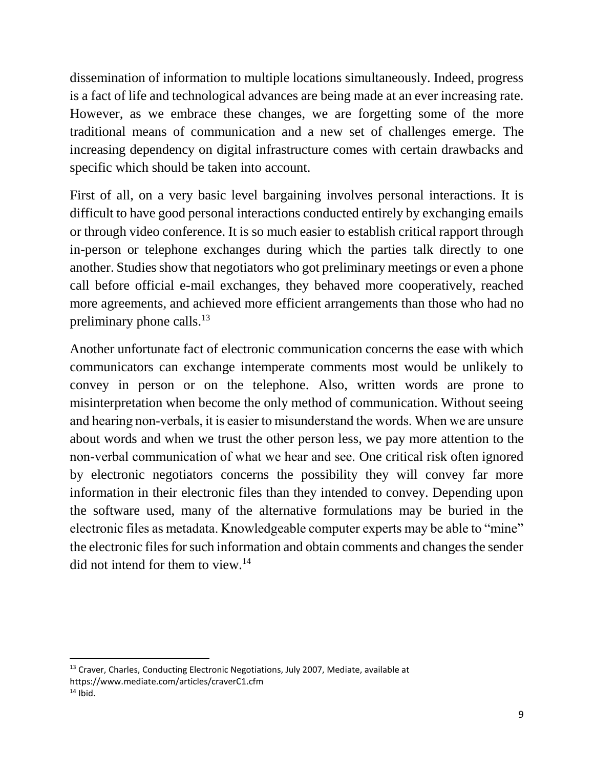dissemination of information to multiple locations simultaneously. Indeed, progress is a fact of life and technological advances are being made at an ever increasing rate. However, as we embrace these changes, we are forgetting some of the more traditional means of communication and a new set of challenges emerge. The increasing dependency on digital infrastructure comes with certain drawbacks and specific which should be taken into account.

First of all, on a very basic level bargaining involves personal interactions. It is difficult to have good personal interactions conducted entirely by exchanging emails or through video conference. It is so much easier to establish critical rapport through in-person or telephone exchanges during which the parties talk directly to one another. Studies show that negotiators who got preliminary meetings or even a phone call before official e-mail exchanges, they behaved more cooperatively, reached more agreements, and achieved more efficient arrangements than those who had no preliminary phone calls.<sup>13</sup>

Another unfortunate fact of electronic communication concerns the ease with which communicators can exchange intemperate comments most would be unlikely to convey in person or on the telephone. Also, written words are prone to misinterpretation when become the only method of communication. Without seeing and hearing non‐verbals, it is easier to misunderstand the words. When we are unsure about words and when we trust the other person less, we pay more attention to the non‐verbal communication of what we hear and see. One critical risk often ignored by electronic negotiators concerns the possibility they will convey far more information in their electronic files than they intended to convey. Depending upon the software used, many of the alternative formulations may be buried in the electronic files as metadata. Knowledgeable computer experts may be able to "mine" the electronic files for such information and obtain comments and changes the sender did not intend for them to view.<sup>14</sup>

 $\overline{\phantom{a}}$ 

<sup>&</sup>lt;sup>13</sup> Craver, Charles, Conducting Electronic Negotiations, July 2007, Mediate, available at https://www.mediate.com/articles/craverC1.cfm  $14$  Ibid.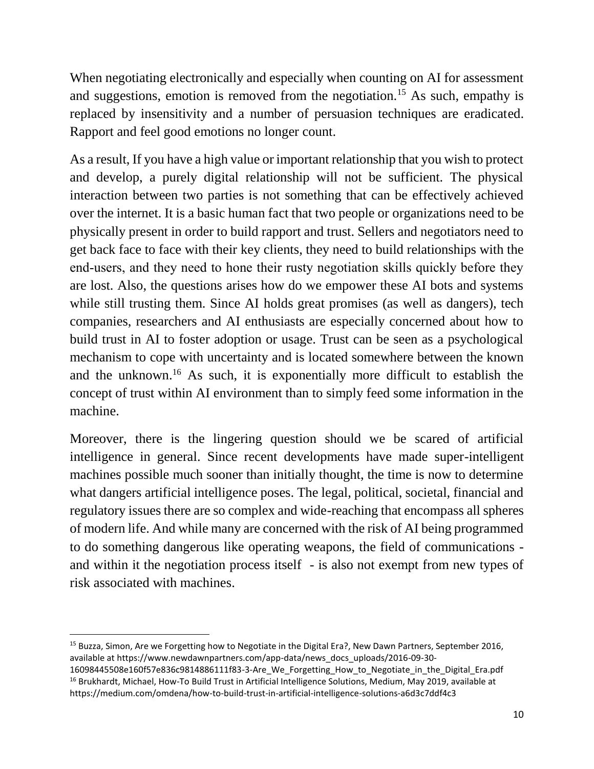When negotiating electronically and especially when counting on AI for assessment and suggestions, emotion is removed from the negotiation.<sup>15</sup> As such, empathy is replaced by insensitivity and a number of persuasion techniques are eradicated. Rapport and feel good emotions no longer count.

As a result, If you have a high value or important relationship that you wish to protect and develop, a purely digital relationship will not be sufficient. The physical interaction between two parties is not something that can be effectively achieved over the internet. It is a basic human fact that two people or organizations need to be physically present in order to build rapport and trust. Sellers and negotiators need to get back face to face with their key clients, they need to build relationships with the end‐users, and they need to hone their rusty negotiation skills quickly before they are lost. Also, the questions arises how do we empower these AI bots and systems while still trusting them. Since AI holds great promises (as well as dangers), tech companies, researchers and AI enthusiasts are especially concerned about how to build trust in AI to foster adoption or usage. Trust can be seen as a psychological mechanism to cope with uncertainty and is located somewhere between the known and the unknown.<sup>16</sup> As such, it is exponentially more difficult to establish the concept of trust within AI environment than to simply feed some information in the machine.

Moreover, there is the lingering question should we be scared of artificial intelligence in general. Since recent developments have made super-intelligent machines possible much sooner than initially thought, the time is now to determine what dangers artificial intelligence poses. The legal, political, societal, financial and regulatory issues there are so complex and wide-reaching that encompass all spheres of modern life. And while many are concerned with the risk of AI being programmed to do something dangerous like operating weapons, the field of communications and within it the negotiation process itself - is also not exempt from new types of risk associated with machines.

l <sup>15</sup> Buzza, Simon, Are we Forgetting how to Negotiate in the Digital Era?, New Dawn Partners, September 2016, available at https://www.newdawnpartners.com/app-data/news\_docs\_uploads/2016-09-30- 16098445508e160f57e836c9814886111f83-3-Are\_We\_Forgetting\_How\_to\_Negotiate\_in\_the\_Digital\_Era.pdf

<sup>&</sup>lt;sup>16</sup> Brukhardt, Michael, How-To Build Trust in Artificial Intelligence Solutions, Medium, May 2019, available at https://medium.com/omdena/how-to-build-trust-in-artificial-intelligence-solutions-a6d3c7ddf4c3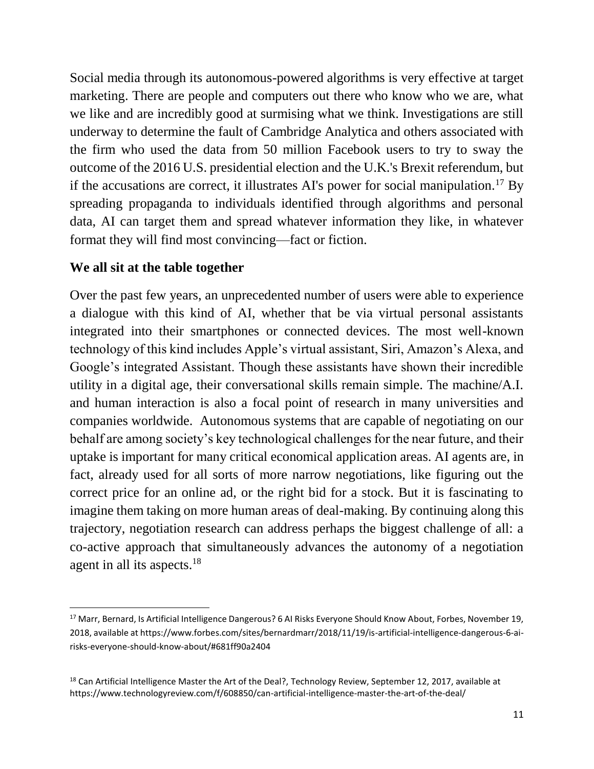Social media through its autonomous-powered algorithms is very effective at target marketing. There are people and computers out there who know who we are, what we like and are incredibly good at surmising what we think. Investigations are still underway to determine the fault of Cambridge Analytica and others associated with the firm who used the data from 50 million Facebook users to try to sway the outcome of the 2016 U.S. presidential election and the U.K.'s Brexit referendum, but if the accusations are correct, it illustrates AI's power for social manipulation.<sup>17</sup> By spreading propaganda to individuals identified through algorithms and personal data, AI can target them and spread whatever information they like, in whatever format they will find most convincing—fact or fiction.

#### **We all sit at the table together**

 $\overline{\phantom{a}}$ 

Over the past few years, an unprecedented number of users were able to experience a dialogue with this kind of AI, whether that be via virtual personal assistants integrated into their smartphones or connected devices. The most well-known technology of this kind includes Apple's virtual assistant, Siri, Amazon's Alexa, and Google's integrated Assistant. Though these assistants have shown their incredible utility in a digital age, their conversational skills remain simple. The machine/A.I. and human interaction is also a focal point of research in many universities and companies worldwide. Autonomous systems that are capable of negotiating on our behalf are among society's key technological challenges for the near future, and their uptake is important for many critical economical application areas. AI agents are, in fact, already used for all sorts of more narrow negotiations, like figuring out the correct price for an online ad, or the right bid for a stock. But it is fascinating to imagine them taking on more human areas of deal-making. By continuing along this trajectory, negotiation research can address perhaps the biggest challenge of all: a co-active approach that simultaneously advances the autonomy of a negotiation agent in all its aspects.<sup>18</sup>

<sup>&</sup>lt;sup>17</sup> Marr, Bernard, Is Artificial Intelligence Dangerous? 6 AI Risks Everyone Should Know About, Forbes, November 19, 2018, available at https://www.forbes.com/sites/bernardmarr/2018/11/19/is-artificial-intelligence-dangerous-6-airisks-everyone-should-know-about/#681ff90a2404

<sup>&</sup>lt;sup>18</sup> Can Artificial Intelligence Master the Art of the Deal?, Technology Review, September 12, 2017, available at https://www.technologyreview.com/f/608850/can-artificial-intelligence-master-the-art-of-the-deal/